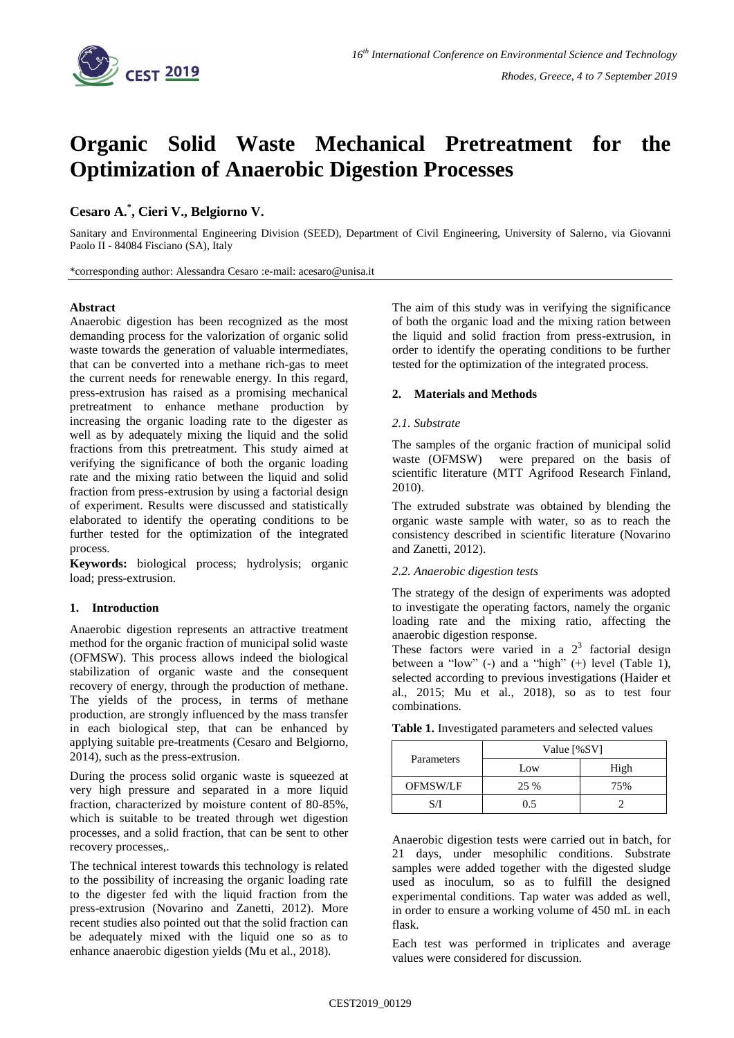

# **Organic Solid Waste Mechanical Pretreatment for the Optimization of Anaerobic Digestion Processes**

## **Cesaro A. \* , Cieri V., Belgiorno V.**

Sanitary and Environmental Engineering Division (SEED), Department of Civil Engineering, University of Salerno, via Giovanni Paolo II - 84084 Fisciano (SA), Italy

\*corresponding author: Alessandra Cesaro :e-mail: acesaro@unisa.it

#### **Abstract**

Anaerobic digestion has been recognized as the most demanding process for the valorization of organic solid waste towards the generation of valuable intermediates, that can be converted into a methane rich-gas to meet the current needs for renewable energy. In this regard, press-extrusion has raised as a promising mechanical pretreatment to enhance methane production by increasing the organic loading rate to the digester as well as by adequately mixing the liquid and the solid fractions from this pretreatment. This study aimed at verifying the significance of both the organic loading rate and the mixing ratio between the liquid and solid fraction from press-extrusion by using a factorial design of experiment. Results were discussed and statistically elaborated to identify the operating conditions to be further tested for the optimization of the integrated process.

**Keywords:** biological process; hydrolysis; organic load; press-extrusion.

## **1. Introduction**

Anaerobic digestion represents an attractive treatment method for the organic fraction of municipal solid waste (OFMSW). This process allows indeed the biological stabilization of organic waste and the consequent recovery of energy, through the production of methane. The yields of the process, in terms of methane production, are strongly influenced by the mass transfer in each biological step, that can be enhanced by applying suitable pre-treatments (Cesaro and Belgiorno, 2014), such as the press-extrusion.

During the process solid organic waste is squeezed at very high pressure and separated in a more liquid fraction, characterized by moisture content of 80-85%, which is suitable to be treated through wet digestion processes, and a solid fraction, that can be sent to other recovery processes,.

The technical interest towards this technology is related to the possibility of increasing the organic loading rate to the digester fed with the liquid fraction from the press-extrusion (Novarino and Zanetti, 2012). More recent studies also pointed out that the solid fraction can be adequately mixed with the liquid one so as to enhance anaerobic digestion yields (Mu et al., 2018).

The aim of this study was in verifying the significance of both the organic load and the mixing ration between the liquid and solid fraction from press-extrusion, in order to identify the operating conditions to be further tested for the optimization of the integrated process.

#### **2. Materials and Methods**

#### *2.1. Substrate*

The samples of the organic fraction of municipal solid waste (OFMSW) were prepared on the basis of scientific literature (MTT Agrifood Research Finland, 2010).

The extruded substrate was obtained by blending the organic waste sample with water, so as to reach the consistency described in scientific literature (Novarino and Zanetti, 2012).

#### *2.2. Anaerobic digestion tests*

The strategy of the design of experiments was adopted to investigate the operating factors, namely the organic loading rate and the mixing ratio, affecting the anaerobic digestion response.

These factors were varied in a  $2<sup>3</sup>$  factorial design between a "low" (-) and a "high" (+) level (Table 1), selected according to previous investigations (Haider et al., 2015; Mu et al., 2018), so as to test four combinations.

| Parameters      | Value [%SV] |      |
|-----------------|-------------|------|
|                 | Low         | High |
| <b>OFMSW/LF</b> | 25 %        | 75%  |
|                 | () 5        |      |

Anaerobic digestion tests were carried out in batch, for 21 days, under mesophilic conditions. Substrate samples were added together with the digested sludge used as inoculum, so as to fulfill the designed experimental conditions. Tap water was added as well, in order to ensure a working volume of 450 mL in each flask.

Each test was performed in triplicates and average values were considered for discussion.